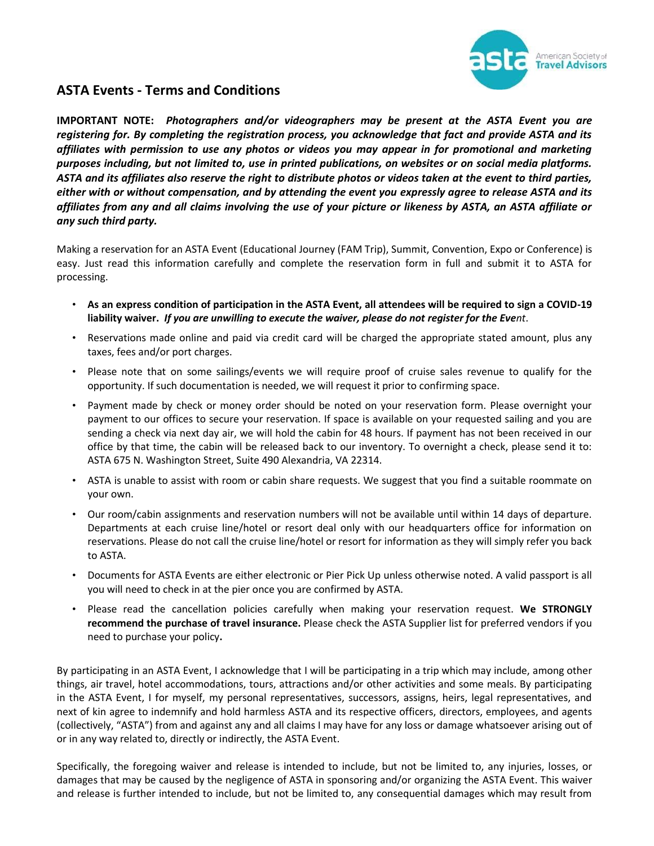

## **ASTA Events ‐ Terms and Conditions**

**IMPORTANT NOTE:** *Photographers and/or videographers may be present at the ASTA Event you are registering for. By completing the registration process, you acknowledge that fact and provide ASTA and its affiliates with permission to use any photos or videos you may appear in for promotional and marketing purposes including, but not limited to, use in printed publications, on websites or on social media platforms. ASTA and its affiliates also reserve the right to distribute photos or videos taken at the event to third parties, either with or without compensation, and by attending the event you expressly agree to release ASTA and its affiliates from any and all claims involving the use of your picture or likeness by ASTA, an ASTA affiliate or any such third party.* 

Making a reservation for an ASTA Event (Educational Journey (FAM Trip), Summit, Convention, Expo or Conference) is easy. Just read this information carefully and complete the reservation form in full and submit it to ASTA for processing.

- **As an express condition of participation in the ASTA Event, all attendees will be required to sign a COVID-19 liability waiver.** *If you are unwilling to execute the waiver, please do not register for the Event*.
- Reservations made online and paid via credit card will be charged the appropriate stated amount, plus any taxes, fees and/or port charges.
- Please note that on some sailings/events we will require proof of cruise sales revenue to qualify for the opportunity. If such documentation is needed, we will request it prior to confirming space.
- Payment made by check or money order should be noted on your reservation form. Please overnight your payment to our offices to secure your reservation. If space is available on your requested sailing and you are sending a check via next day air, we will hold the cabin for 48 hours. If payment has not been received in our office by that time, the cabin will be released back to our inventory. To overnight a check, please send it to: ASTA 675 N. Washington Street, Suite 490 Alexandria, VA 22314.
- ASTA is unable to assist with room or cabin share requests. We suggest that you find a suitable roommate on your own.
- Our room/cabin assignments and reservation numbers will not be available until within 14 days of departure. Departments at each cruise line/hotel or resort deal only with our headquarters office for information on reservations. Please do not call the cruise line/hotel or resort for information as they will simply refer you back to ASTA.
- Documents for ASTA Events are either electronic or Pier Pick Up unless otherwise noted. A valid passport is all you will need to check in at the pier once you are confirmed by ASTA.
- Please read the cancellation policies carefully when making your reservation request. **We STRONGLY recommend the purchase of travel insurance.** Please check the ASTA Supplier list for preferred vendors if you need to purchase your policy**.**

By participating in an ASTA Event, I acknowledge that I will be participating in a trip which may include, among other things, air travel, hotel accommodations, tours, attractions and/or other activities and some meals. By participating in the ASTA Event, I for myself, my personal representatives, successors, assigns, heirs, legal representatives, and next of kin agree to indemnify and hold harmless ASTA and its respective officers, directors, employees, and agents (collectively, "ASTA") from and against any and all claims I may have for any loss or damage whatsoever arising out of or in any way related to, directly or indirectly, the ASTA Event.

Specifically, the foregoing waiver and release is intended to include, but not be limited to, any injuries, losses, or damages that may be caused by the negligence of ASTA in sponsoring and/or organizing the ASTA Event. This waiver and release is further intended to include, but not be limited to, any consequential damages which may result from